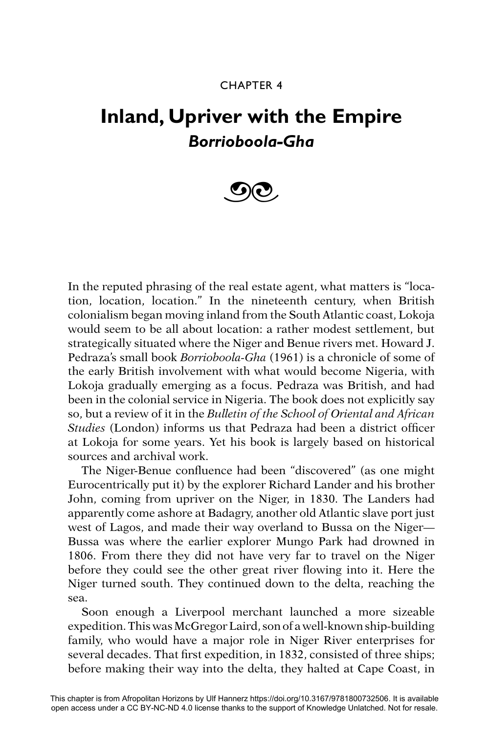## CHAPTER 4

## **Inland, Upriver with the Empire** *Borrioboola-Gha*



In the reputed phrasing of the real estate agent, what matters is "location, location, location." In the nineteenth century, when British colonialism began moving inland from the South Atlantic coast, Lokoja would seem to be all about location: a rather modest settlement, but strategically situated where the Niger and Benue rivers met. Howard J. Pedraza's small book *Borrioboola-Gha* (1961) is a chronicle of some of the early British involvement with what would become Nigeria, with Lokoja gradually emerging as a focus. Pedraza was British, and had been in the colonial service in Nigeria. The book does not explicitly say so, but a review of it in the *Bulletin of the School of Oriental and African Studies* (London) informs us that Pedraza had been a district officer at Lokoja for some years. Yet his book is largely based on historical sources and archival work.

The Niger-Benue confluence had been "discovered" (as one might Eurocentrically put it) by the explorer Richard Lander and his brother John, coming from upriver on the Niger, in 1830. The Landers had apparently come ashore at Badagry, another old Atlantic slave port just west of Lagos, and made their way overland to Bussa on the Niger— Bussa was where the earlier explorer Mungo Park had drowned in 1806. From there they did not have very far to travel on the Niger before they could see the other great river flowing into it. Here the Niger turned south. They continued down to the delta, reaching the sea.

Soon enough a Liverpool merchant launched a more sizeable expedition. This was McGregor Laird, son of a well-known ship-building family, who would have a major role in Niger River enterprises for several decades. That first expedition, in 1832, consisted of three ships; before making their way into the delta, they halted at Cape Coast, in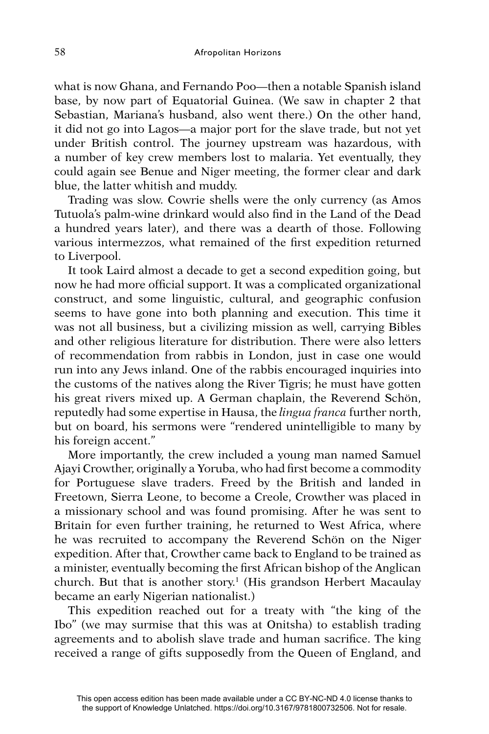what is now Ghana, and Fernando Poo—then a notable Spanish island base, by now part of Equatorial Guinea. (We saw in chapter 2 that Sebastian, Mariana's husband, also went there.) On the other hand, it did not go into Lagos—a major port for the slave trade, but not yet under British control. The journey upstream was hazardous, with a number of key crew members lost to malaria. Yet eventually, they could again see Benue and Niger meeting, the former clear and dark blue, the latter whitish and muddy.

Trading was slow. Cowrie shells were the only currency (as Amos Tutuola's palm-wine drinkard would also find in the Land of the Dead a hundred years later), and there was a dearth of those. Following various intermezzos, what remained of the first expedition returned to Liverpool.

It took Laird almost a decade to get a second expedition going, but now he had more official support. It was a complicated organizational construct, and some linguistic, cultural, and geographic confusion seems to have gone into both planning and execution. This time it was not all business, but a civilizing mission as well, carrying Bibles and other religious literature for distribution. There were also letters of recommendation from rabbis in London, just in case one would run into any Jews inland. One of the rabbis encouraged inquiries into the customs of the natives along the River Tigris; he must have gotten his great rivers mixed up. A German chaplain, the Reverend Schön, reputedly had some expertise in Hausa, the *lingua franca* further north, but on board, his sermons were "rendered unintelligible to many by his foreign accent."

More importantly, the crew included a young man named Samuel Ajayi Crowther, originally a Yoruba, who had first become a commodity for Portuguese slave traders. Freed by the British and landed in Freetown, Sierra Leone, to become a Creole, Crowther was placed in a missionary school and was found promising. After he was sent to Britain for even further training, he returned to West Africa, where he was recruited to accompany the Reverend Schön on the Niger expedition. After that, Crowther came back to England to be trained as a minister, eventually becoming the first African bishop of the Anglican church. But that is another story.1 (His grandson Herbert Macaulay became an early Nigerian nationalist.)

This expedition reached out for a treaty with "the king of the Ibo" (we may surmise that this was at Onitsha) to establish trading agreements and to abolish slave trade and human sacrifice. The king received a range of gifts supposedly from the Queen of England, and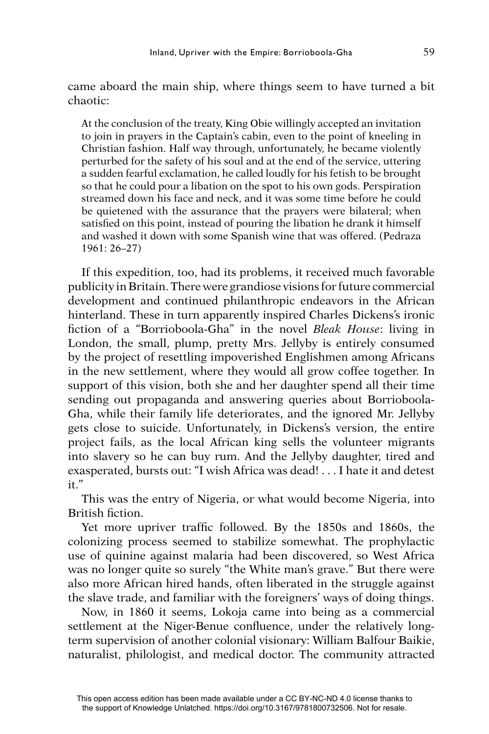came aboard the main ship, where things seem to have turned a bit chaotic:

At the conclusion of the treaty, King Obie willingly accepted an invitation to join in prayers in the Captain's cabin, even to the point of kneeling in Christian fashion. Half way through, unfortunately, he became violently perturbed for the safety of his soul and at the end of the service, uttering a sudden fearful exclamation, he called loudly for his fetish to be brought so that he could pour a libation on the spot to his own gods. Perspiration streamed down his face and neck, and it was some time before he could be quietened with the assurance that the prayers were bilateral; when satisfied on this point, instead of pouring the libation he drank it himself and washed it down with some Spanish wine that was offered. (Pedraza 1961: 26–27)

If this expedition, too, had its problems, it received much favorable publicity in Britain. There were grandiose visions for future commercial development and continued philanthropic endeavors in the African hinterland. These in turn apparently inspired Charles Dickens's ironic fi ction of a "Borrioboola-Gha" in the novel *Bleak House*: living in London, the small, plump, pretty Mrs. Jellyby is entirely consumed by the project of resettling impoverished Englishmen among Africans in the new settlement, where they would all grow coffee together. In support of this vision, both she and her daughter spend all their time sending out propaganda and answering queries about Borrioboola-Gha, while their family life deteriorates, and the ignored Mr. Jellyby gets close to suicide. Unfortunately, in Dickens's version, the entire project fails, as the local African king sells the volunteer migrants into slavery so he can buy rum. And the Jellyby daughter, tired and exasperated, bursts out: "I wish Africa was dead! . . . I hate it and detest it."

This was the entry of Nigeria, or what would become Nigeria, into British fiction.

Yet more upriver traffic followed. By the 1850s and 1860s, the colonizing process seemed to stabilize somewhat. The prophylactic use of quinine against malaria had been discovered, so West Africa was no longer quite so surely "the White man's grave." But there were also more African hired hands, often liberated in the struggle against the slave trade, and familiar with the foreigners' ways of doing things.

Now, in 1860 it seems, Lokoja came into being as a commercial settlement at the Niger-Benue confluence, under the relatively longterm supervision of another colonial visionary: William Balfour Baikie, naturalist, philologist, and medical doctor. The community attracted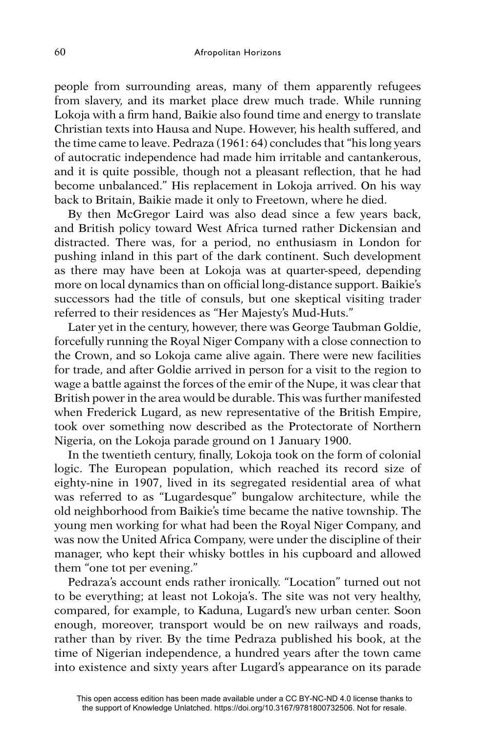people from surrounding areas, many of them apparently refugees from slavery, and its market place drew much trade. While running Lokoja with a firm hand, Baikie also found time and energy to translate Christian texts into Hausa and Nupe. However, his health suffered, and the time came to leave. Pedraza (1961: 64) concludes that "his long years of autocratic independence had made him irritable and cantankerous, and it is quite possible, though not a pleasant reflection, that he had become unbalanced." His replacement in Lokoja arrived. On his way back to Britain, Baikie made it only to Freetown, where he died.

By then McGregor Laird was also dead since a few years back, and British policy toward West Africa turned rather Dickensian and distracted. There was, for a period, no enthusiasm in London for pushing inland in this part of the dark continent. Such development as there may have been at Lokoja was at quarter-speed, depending more on local dynamics than on official long-distance support. Baikie's successors had the title of consuls, but one skeptical visiting trader referred to their residences as "Her Majesty's Mud-Huts."

Later yet in the century, however, there was George Taubman Goldie, forcefully running the Royal Niger Company with a close connection to the Crown, and so Lokoja came alive again. There were new facilities for trade, and after Goldie arrived in person for a visit to the region to wage a battle against the forces of the emir of the Nupe, it was clear that British power in the area would be durable. This was further manifested when Frederick Lugard, as new representative of the British Empire, took over something now described as the Protectorate of Northern Nigeria, on the Lokoja parade ground on 1 January 1900.

In the twentieth century, finally, Lokoja took on the form of colonial logic. The European population, which reached its record size of eighty-nine in 1907, lived in its segregated residential area of what was referred to as "Lugardesque" bungalow architecture, while the old neighborhood from Baikie's time became the native township. The young men working for what had been the Royal Niger Company, and was now the United Africa Company, were under the discipline of their manager, who kept their whisky bottles in his cupboard and allowed them "one tot per evening."

Pedraza's account ends rather ironically. "Location" turned out not to be everything; at least not Lokoja's. The site was not very healthy, compared, for example, to Kaduna, Lugard's new urban center. Soon enough, moreover, transport would be on new railways and roads, rather than by river. By the time Pedraza published his book, at the time of Nigerian independence, a hundred years after the town came into existence and sixty years after Lugard's appearance on its parade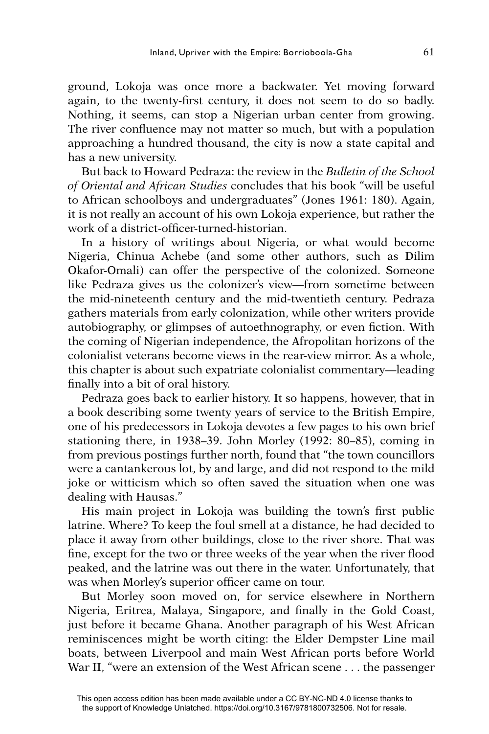ground, Lokoja was once more a backwater. Yet moving forward again, to the twenty-first century, it does not seem to do so badly. Nothing, it seems, can stop a Nigerian urban center from growing. The river confluence may not matter so much, but with a population approaching a hundred thousand, the city is now a state capital and has a new university.

But back to Howard Pedraza: the review in the *Bulletin of the School of Oriental and African Studies* concludes that his book "will be useful to African schoolboys and undergraduates" (Jones 1961: 180). Again, it is not really an account of his own Lokoja experience, but rather the work of a district-officer-turned-historian.

In a history of writings about Nigeria, or what would become Nigeria, Chinua Achebe (and some other authors, such as Dilim Okafor-Omali) can offer the perspective of the colonized. Someone like Pedraza gives us the colonizer's view—from sometime between the mid-nineteenth century and the mid-twentieth century. Pedraza gathers materials from early colonization, while other writers provide autobiography, or glimpses of autoethnography, or even fiction. With the coming of Nigerian independence, the Afropolitan horizons of the colonialist veterans become views in the rear-view mirror. As a whole, this chapter is about such expatriate colonialist commentary—leading finally into a bit of oral history.

Pedraza goes back to earlier history. It so happens, however, that in a book describing some twenty years of service to the British Empire, one of his predecessors in Lokoja devotes a few pages to his own brief stationing there, in 1938–39. John Morley (1992: 80–85), coming in from previous postings further north, found that "the town councillors were a cantankerous lot, by and large, and did not respond to the mild joke or witticism which so often saved the situation when one was dealing with Hausas."

His main project in Lokoja was building the town's first public latrine. Where? To keep the foul smell at a distance, he had decided to place it away from other buildings, close to the river shore. That was fine, except for the two or three weeks of the year when the river flood peaked, and the latrine was out there in the water. Unfortunately, that was when Morley's superior officer came on tour.

But Morley soon moved on, for service elsewhere in Northern Nigeria, Eritrea, Malaya, Singapore, and finally in the Gold Coast, just before it became Ghana. Another paragraph of his West African reminiscences might be worth citing: the Elder Dempster Line mail boats, between Liverpool and main West African ports before World War II, "were an extension of the West African scene . . . the passenger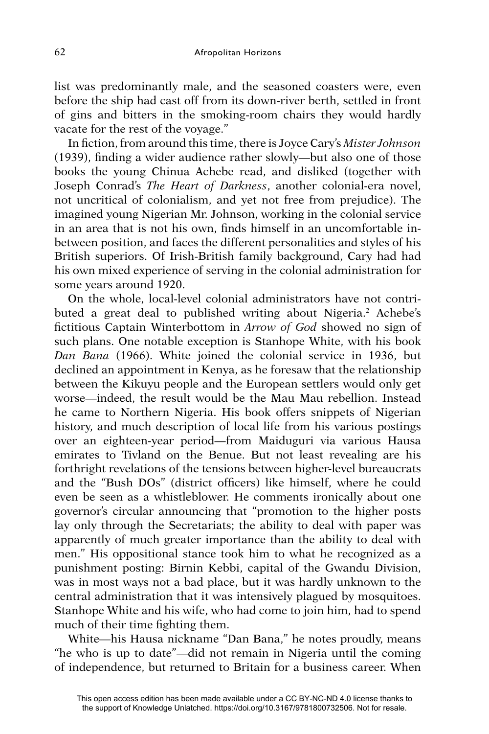list was predominantly male, and the seasoned coasters were, even before the ship had cast off from its down-river berth, settled in front of gins and bitters in the smoking-room chairs they would hardly vacate for the rest of the voyage."

In fiction, from around this time, there is Joyce Cary's *Mister Johnson*  $(1939)$ , finding a wider audience rather slowly—but also one of those books the young Chinua Achebe read, and disliked (together with Joseph Conrad's *The Heart of Darkness*, another colonial-era novel, not uncritical of colonialism, and yet not free from prejudice). The imagined young Nigerian Mr. Johnson, working in the colonial service in an area that is not his own, finds himself in an uncomfortable inbetween position, and faces the different personalities and styles of his British superiors. Of Irish-British family background, Cary had had his own mixed experience of serving in the colonial administration for some years around 1920.

On the whole, local-level colonial administrators have not contributed a great deal to published writing about Nigeria.<sup>2</sup> Achebe's fictitious Captain Winterbottom in *Arrow of God* showed no sign of such plans. One notable exception is Stanhope White, with his book *Dan Bana* (1966). White joined the colonial service in 1936, but declined an appointment in Kenya, as he foresaw that the relationship between the Kikuyu people and the European settlers would only get worse—indeed, the result would be the Mau Mau rebellion. Instead he came to Northern Nigeria. His book offers snippets of Nigerian history, and much description of local life from his various postings over an eighteen-year period—from Maiduguri via various Hausa emirates to Tivland on the Benue. But not least revealing are his forthright revelations of the tensions between higher-level bureaucrats and the "Bush DOs" (district officers) like himself, where he could even be seen as a whistleblower. He comments ironically about one governor's circular announcing that "promotion to the higher posts lay only through the Secretariats; the ability to deal with paper was apparently of much greater importance than the ability to deal with men." His oppositional stance took him to what he recognized as a punishment posting: Birnin Kebbi, capital of the Gwandu Division, was in most ways not a bad place, but it was hardly unknown to the central administration that it was intensively plagued by mosquitoes. Stanhope White and his wife, who had come to join him, had to spend much of their time fighting them.

White—his Hausa nickname "Dan Bana," he notes proudly, means "he who is up to date"—did not remain in Nigeria until the coming of independence, but returned to Britain for a business career. When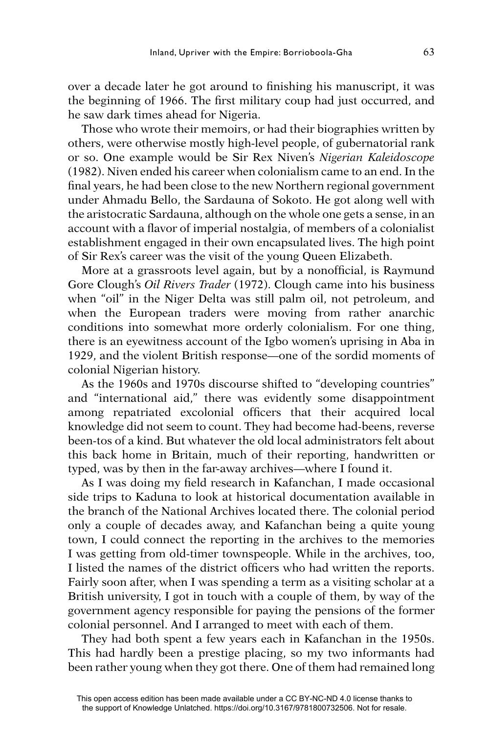over a decade later he got around to finishing his manuscript, it was the beginning of 1966. The first military coup had just occurred, and he saw dark times ahead for Nigeria.

Those who wrote their memoirs, or had their biographies written by others, were otherwise mostly high-level people, of gubernatorial rank or so. One example would be Sir Rex Niven's *Nigerian Kaleidoscope*  (1982). Niven ended his career when colonialism came to an end. In the final years, he had been close to the new Northern regional government under Ahmadu Bello, the Sardauna of Sokoto. He got along well with the aristocratic Sardauna, although on the whole one gets a sense, in an account with a flavor of imperial nostalgia, of members of a colonialist establishment engaged in their own encapsulated lives. The high point of Sir Rex's career was the visit of the young Queen Elizabeth.

More at a grassroots level again, but by a nonofficial, is Raymund Gore Clough's *Oil Rivers Trader* (1972). Clough came into his business when "oil" in the Niger Delta was still palm oil, not petroleum, and when the European traders were moving from rather anarchic conditions into somewhat more orderly colonialism. For one thing, there is an eyewitness account of the Igbo women's uprising in Aba in 1929, and the violent British response—one of the sordid moments of colonial Nigerian history.

As the 1960s and 1970s discourse shifted to "developing countries" and "international aid," there was evidently some disappointment among repatriated excolonial officers that their acquired local knowledge did not seem to count. They had become had-beens, reverse been-tos of a kind. But whatever the old local administrators felt about this back home in Britain, much of their reporting, handwritten or typed, was by then in the far-away archives—where I found it.

As I was doing my field research in Kafanchan, I made occasional side trips to Kaduna to look at historical documentation available in the branch of the National Archives located there. The colonial period only a couple of decades away, and Kafanchan being a quite young town, I could connect the reporting in the archives to the memories I was getting from old-timer townspeople. While in the archives, too, I listed the names of the district officers who had written the reports. Fairly soon after, when I was spending a term as a visiting scholar at a British university, I got in touch with a couple of them, by way of the government agency responsible for paying the pensions of the former colonial personnel. And I arranged to meet with each of them.

They had both spent a few years each in Kafanchan in the 1950s. This had hardly been a prestige placing, so my two informants had been rather young when they got there. One of them had remained long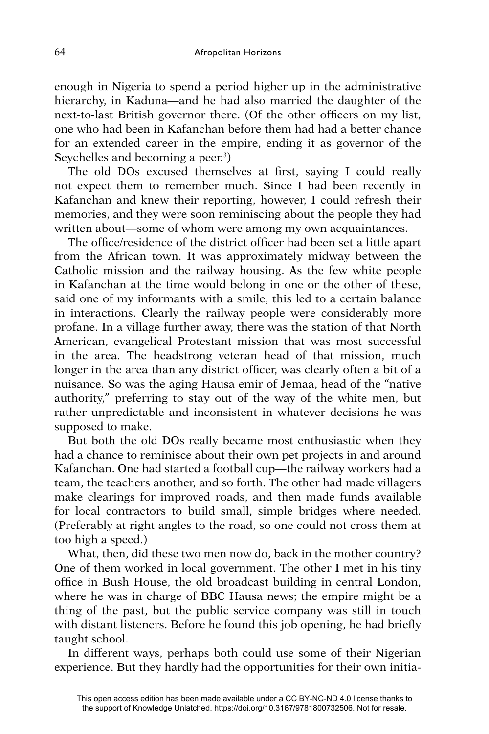enough in Nigeria to spend a period higher up in the administrative hierarchy, in Kaduna—and he had also married the daughter of the next-to-last British governor there. (Of the other officers on my list, one who had been in Kafanchan before them had had a better chance for an extended career in the empire, ending it as governor of the Seychelles and becoming a peer.<sup>3</sup>)

The old DOs excused themselves at first, saying I could really not expect them to remember much. Since I had been recently in Kafanchan and knew their reporting, however, I could refresh their memories, and they were soon reminiscing about the people they had written about—some of whom were among my own acquaintances.

The office/residence of the district officer had been set a little apart from the African town. It was approximately midway between the Catholic mission and the railway housing. As the few white people in Kafanchan at the time would belong in one or the other of these, said one of my informants with a smile, this led to a certain balance in interactions. Clearly the railway people were considerably more profane. In a village further away, there was the station of that North American, evangelical Protestant mission that was most successful in the area. The headstrong veteran head of that mission, much longer in the area than any district officer, was clearly often a bit of a nuisance. So was the aging Hausa emir of Jemaa, head of the "native authority," preferring to stay out of the way of the white men, but rather unpredictable and inconsistent in whatever decisions he was supposed to make.

But both the old DOs really became most enthusiastic when they had a chance to reminisce about their own pet projects in and around Kafanchan. One had started a football cup—the railway workers had a team, the teachers another, and so forth. The other had made villagers make clearings for improved roads, and then made funds available for local contractors to build small, simple bridges where needed. (Preferably at right angles to the road, so one could not cross them at too high a speed.)

What, then, did these two men now do, back in the mother country? One of them worked in local government. The other I met in his tiny office in Bush House, the old broadcast building in central London, where he was in charge of BBC Hausa news; the empire might be a thing of the past, but the public service company was still in touch with distant listeners. Before he found this job opening, he had briefly taught school.

In different ways, perhaps both could use some of their Nigerian experience. But they hardly had the opportunities for their own initia